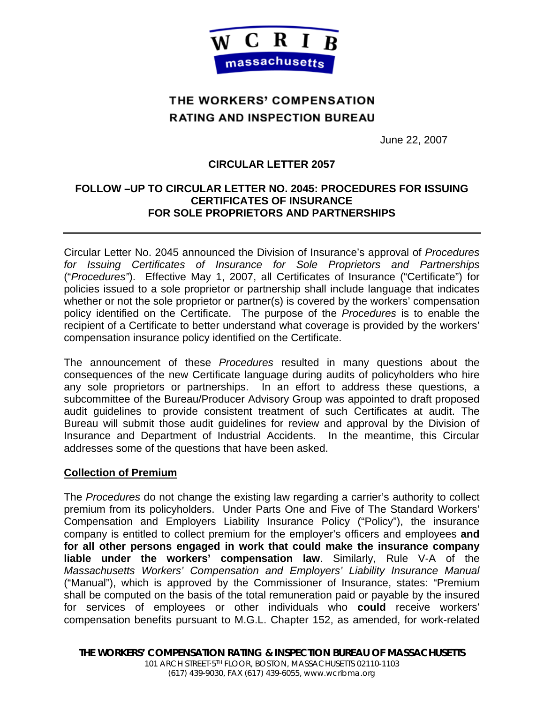

# THE WORKERS' COMPENSATION **RATING AND INSPECTION BUREAU**

June 22, 2007

## **CIRCULAR LETTER 2057**

## **FOLLOW –UP TO CIRCULAR LETTER NO. 2045: PROCEDURES FOR ISSUING CERTIFICATES OF INSURANCE FOR SOLE PROPRIETORS AND PARTNERSHIPS**

Circular Letter No. 2045 announced the Division of Insurance's approval of *Procedures for Issuing Certificates of Insurance for Sole Proprietors and Partnerships* ("*Procedures"*). Effective May 1, 2007, all Certificates of Insurance ("Certificate") for policies issued to a sole proprietor or partnership shall include language that indicates whether or not the sole proprietor or partner(s) is covered by the workers' compensation policy identified on the Certificate. The purpose of the *Procedures* is to enable the recipient of a Certificate to better understand what coverage is provided by the workers' compensation insurance policy identified on the Certificate.

The announcement of these *Procedures* resulted in many questions about the consequences of the new Certificate language during audits of policyholders who hire any sole proprietors or partnerships. In an effort to address these questions, a subcommittee of the Bureau/Producer Advisory Group was appointed to draft proposed audit guidelines to provide consistent treatment of such Certificates at audit. The Bureau will submit those audit guidelines for review and approval by the Division of Insurance and Department of Industrial Accidents. In the meantime, this Circular addresses some of the questions that have been asked.

#### **Collection of Premium**

The *Procedures* do not change the existing law regarding a carrier's authority to collect premium from its policyholders. Under Parts One and Five of The Standard Workers' Compensation and Employers Liability Insurance Policy ("Policy"), the insurance company is entitled to collect premium for the employer's officers and employees **and for all other persons engaged in work that could make the insurance company liable under the workers' compensation law**. Similarly, Rule V-A of the *Massachusetts Workers' Compensation and Employers' Liability Insurance Manual*  ("Manual"), which is approved by the Commissioner of Insurance, states: "Premium shall be computed on the basis of the total remuneration paid or payable by the insured for services of employees or other individuals who **could** receive workers' compensation benefits pursuant to M.G.L. Chapter 152, as amended, for work-related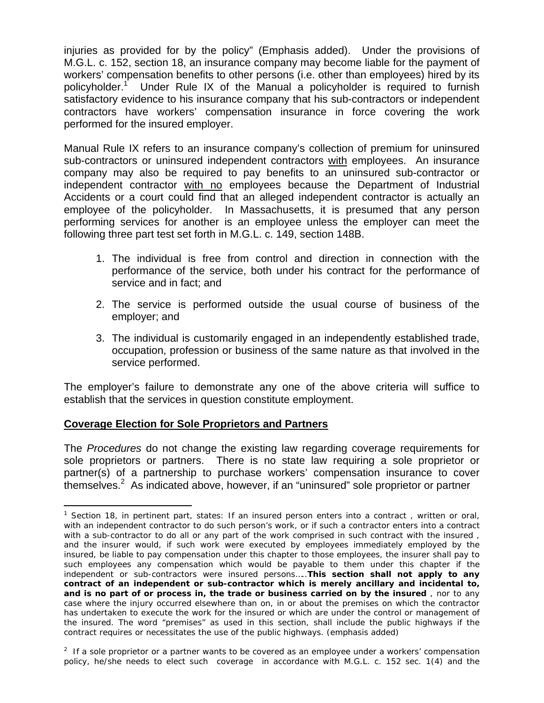injuries as provided for by the policy" (Emphasis added). Under the provisions of M.G.L. c. 152, section 18, an insurance company may become liable for the payment of workers' compensation benefits to other persons (i.e. other than employees) hired by its policyholder.<sup>1</sup> Under Rule IX of the Manual a policyholder is required to furnish satisfactory evidence to his insurance company that his sub-contractors or independent contractors have workers' compensation insurance in force covering the work performed for the insured employer.

Manual Rule IX refers to an insurance company's collection of premium for uninsured sub-contractors or uninsured independent contractors with employees. An insurance company may also be required to pay benefits to an uninsured sub-contractor or independent contractor with no employees because the Department of Industrial Accidents or a court could find that an alleged independent contractor is actually an employee of the policyholder. In Massachusetts, it is presumed that any person performing services for another is an employee unless the employer can meet the following three part test set forth in M.G.L. c. 149, section 148B.

- 1. The individual is free from control and direction in connection with the performance of the service, both under his contract for the performance of service and in fact; and
- 2. The service is performed outside the usual course of business of the employer; and
- 3. The individual is customarily engaged in an independently established trade, occupation, profession or business of the same nature as that involved in the service performed.

The employer's failure to demonstrate any one of the above criteria will suffice to establish that the services in question constitute employment.

# **Coverage Election for Sole Proprietors and Partners**

1

The *Procedures* do not change the existing law regarding coverage requirements for sole proprietors or partners. There is no state law requiring a sole proprietor or partner(s) of a partnership to purchase workers' compensation insurance to cover themselves.<sup>2</sup> As indicated above, however, if an "uninsured" sole proprietor or partner

<sup>&</sup>lt;sup>1</sup> Section 18, in pertinent part, states: If an insured person enters into a contract, written or oral, *with an independent contractor to do such person's work, or if such a contractor enters into a contract with a sub-contractor to do all or any part of the work comprised in such contract with the insured , and the insurer would, if such work were executed by employees immediately employed by the insured, be liable to pay compensation under this chapter to those employees, the insurer shall pay to such employees any compensation which would be payable to them under this chapter if the independent or sub-contractors were insured persons…..This section shall not apply to any contract of an independent or sub-contractor which is merely ancillary and incidental to, and is no part of or process in, the trade or business carried on by the insured , nor to any case where the injury occurred elsewhere than on, in or about the premises on which the contractor has undertaken to execute the work for the insured or which are under the control or management of the insured. The word "premises" as used in this section, shall include the public highways if the contract requires or necessitates the use of the public highways*. (emphasis added)

*<sup>2</sup> If a sole proprietor or a partner wants to be covered as an employee under a workers' compensation*  policy, he/she needs to elect such coverage in accordance with M.G.L. c. 152 sec. 1(4) and the